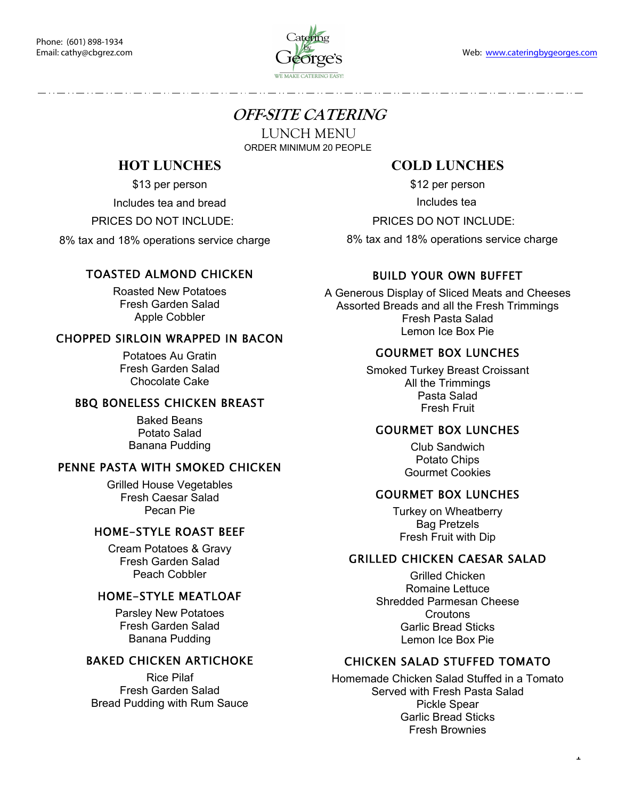

# **OFF-SITE CATERING**

LUNCH MENU

ORDER MINIMUM 20 PEOPLE

# **HOT LUNCHES**

\$13 per person

Includes tea and bread

PRICES DO NOT INCLUDE:

8% tax and 18% operations service charge

# TOASTED ALMOND CHICKEN

Roasted New Potatoes Fresh Garden Salad Apple Cobbler

### CHOPPED SIRLOIN WRAPPED IN BACON

Potatoes Au Gratin Fresh Garden Salad Chocolate Cake

# BBQ BONELESS CHICKEN BREAST

Baked Beans Potato Salad Banana Pudding

# PENNE PASTA WITH SMOKED CHICKEN

Grilled House Vegetables Fresh Caesar Salad Pecan Pie

# HOME-STYLE ROAST BEEF

Cream Potatoes & Gravy Fresh Garden Salad Peach Cobbler

# HOME-STYLE MEATLOAF

Parsley New Potatoes Fresh Garden Salad Banana Pudding

# BAKED CHICKEN ARTICHOKE

Rice Pilaf Fresh Garden Salad Bread Pudding with Rum Sauce

# **COLD LUNCHES**

\$12 per person

Includes tea

PRICES DO NOT INCLUDE:

8% tax and 18% operations service charge

# BUILD YOUR OWN BUFFET

A Generous Display of Sliced Meats and Cheeses Assorted Breads and all the Fresh Trimmings Fresh Pasta Salad Lemon Ice Box Pie

#### GOURMET BOX LUNCHES

Smoked Turkey Breast Croissant All the Trimmings Pasta Salad Fresh Fruit

#### GOURMET BOX LUNCHES

Club Sandwich Potato Chips Gourmet Cookies

#### GOURMET BOX LUNCHES

Turkey on Wheatberry Bag Pretzels Fresh Fruit with Dip

#### GRILLED CHICKEN CAESAR SALAD

Grilled Chicken Romaine Lettuce Shredded Parmesan Cheese **Croutons** Garlic Bread Sticks Lemon Ice Box Pie

# CHICKEN SALAD STUFFED TOMATO

Homemade Chicken Salad Stuffed in a Tomato Served with Fresh Pasta Salad Pickle Spear Garlic Bread Sticks Fresh Brownies

 $\mathbf{r}$